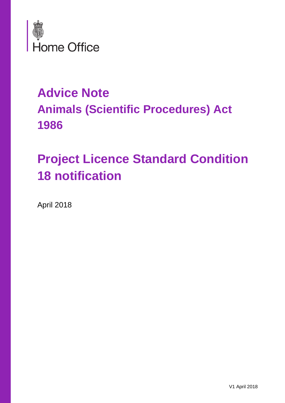

## **Advice Note Animals (Scientific Procedures) Act 1986**

# **Project Licence Standard Condition 18 notification**

April 2018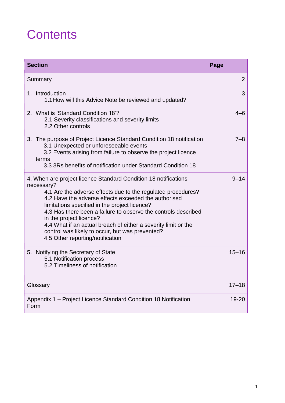## **Contents**

| <b>Section</b>                                                                                                                                                                                                                                                                                                                                                                                                                                                                                               | Page           |
|--------------------------------------------------------------------------------------------------------------------------------------------------------------------------------------------------------------------------------------------------------------------------------------------------------------------------------------------------------------------------------------------------------------------------------------------------------------------------------------------------------------|----------------|
| Summary                                                                                                                                                                                                                                                                                                                                                                                                                                                                                                      | $\overline{2}$ |
| 1. Introduction<br>1.1 How will this Advice Note be reviewed and updated?                                                                                                                                                                                                                                                                                                                                                                                                                                    | 3              |
| 2. What is 'Standard Condition 18'?<br>2.1 Severity classifications and severity limits<br>2.2 Other controls                                                                                                                                                                                                                                                                                                                                                                                                | $4 - 6$        |
| 3. The purpose of Project Licence Standard Condition 18 notification<br>3.1 Unexpected or unforeseeable events<br>3.2 Events arising from failure to observe the project licence<br>terms<br>3.3 3Rs benefits of notification under Standard Condition 18                                                                                                                                                                                                                                                    | $7 - 8$        |
| 4. When are project licence Standard Condition 18 notifications<br>necessary?<br>4.1 Are the adverse effects due to the regulated procedures?<br>4.2 Have the adverse effects exceeded the authorised<br>limitations specified in the project licence?<br>4.3 Has there been a failure to observe the controls described<br>in the project licence?<br>4.4 What if an actual breach of either a severity limit or the<br>control was likely to occur, but was prevented?<br>4.5 Other reporting/notification | $9 - 14$       |
| 5. Notifying the Secretary of State<br>5.1 Notification process<br>5.2 Timeliness of notification                                                                                                                                                                                                                                                                                                                                                                                                            | $15 - 16$      |
| Glossary                                                                                                                                                                                                                                                                                                                                                                                                                                                                                                     | $17 - 18$      |
| Appendix 1 – Project Licence Standard Condition 18 Notification<br>Form                                                                                                                                                                                                                                                                                                                                                                                                                                      | 19-20          |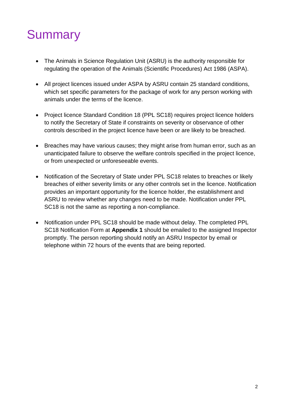## **Summary**

- The Animals in Science Regulation Unit (ASRU) is the authority responsible for regulating the operation of the Animals (Scientific Procedures) Act 1986 (ASPA).
- All project licences issued under ASPA by ASRU contain 25 standard conditions, which set specific parameters for the package of work for any person working with animals under the terms of the licence.
- Project licence Standard Condition 18 (PPL SC18) requires project licence holders to notify the Secretary of State if constraints on severity or observance of other controls described in the project licence have been or are likely to be breached.
- Breaches may have various causes; they might arise from human error, such as an unanticipated failure to observe the welfare controls specified in the project licence, or from unexpected or unforeseeable events.
- Notification of the Secretary of State under PPL SC18 relates to breaches or likely breaches of either severity limits or any other controls set in the licence. Notification provides an important opportunity for the licence holder, the establishment and ASRU to review whether any changes need to be made. Notification under PPL SC18 is not the same as reporting a non-compliance.
- Notification under PPL SC18 should be made without delay. The completed PPL SC18 Notification Form at **Appendix 1** should be emailed to the assigned Inspector promptly. The person reporting should notify an ASRU Inspector by email or telephone within 72 hours of the events that are being reported.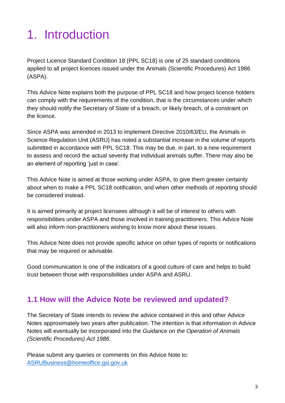# 1. Introduction

Project Licence Standard Condition 18 (PPL SC18) is one of 25 standard conditions applied to all project licences issued under the Animals (Scientific Procedures) Act 1986 (ASPA).

This Advice Note explains both the purpose of PPL SC18 and how project licence holders can comply with the requirements of the condition, that is the circumstances under which they should notify the Secretary of State of a breach, or likely breach, of a constraint on the licence.

Since ASPA was amended in 2013 to implement Directive 2010/63/EU, the Animals in Science Regulation Unit (ASRU) has noted a substantial increase in the volume of reports submitted in accordance with PPL SC18. This may be due, in part, to a new requirement to assess and record the actual severity that individual animals suffer. There may also be an element of reporting 'just in case'.

This Advice Note is aimed at those working under ASPA, to give them greater certainty about when to make a PPL SC18 notification, and when other methods of reporting should be considered instead.

It is aimed primarily at project licensees although it will be of interest to others with responsibilities under ASPA and those involved in training practitioners. This Advice Note will also inform non-practitioners wishing to know more about these issues.

This Advice Note does not provide specific advice on other types of reports or notifications that may be required or advisable.

Good communication is one of the indicators of a good culture of care and helps to build trust between those with responsibilities under ASPA and ASRU.

### **1.1 How will the Advice Note be reviewed and updated?**

The Secretary of State intends to review the advice contained in this and other Advice Notes approximately two years after publication. The intention is that information in Advice Notes will eventually be incorporated into the *Guidance on the Operation of Animals (Scientific Procedures) Act 1986*.

Please submit any queries or comments on this Advice Note to: [ASRUBusiness@homeoffice.gsi.gov.uk](mailto:ASRUBusiness@homeoffice.gsi.gov.uk)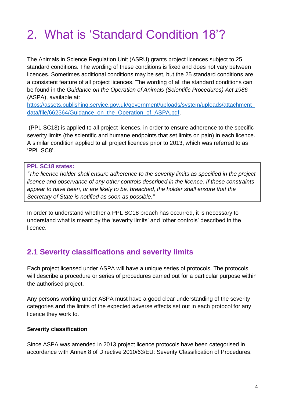## 2. What is 'Standard Condition 18'?

The Animals in Science Regulation Unit (ASRU) grants project licences subject to 25 standard conditions. The wording of these conditions is fixed and does not vary between licences. Sometimes additional conditions may be set, but the 25 standard conditions are a consistent feature of all project licences. The wording of all the standard conditions can be found in the *Guidance on the Operation of Animals (Scientific Procedures) Act 1986* (ASPA), available at:

[https://assets.publishing.service.gov.uk/government/uploads/system/uploads/attachment\\_](https://assets.publishing.service.gov.uk/government/uploads/system/uploads/attachment_data/file/662364/Guidance_on_the_Operation_of_ASPA.pdf) [data/file/662364/Guidance\\_on\\_the\\_Operation\\_of\\_ASPA.pdf.](https://assets.publishing.service.gov.uk/government/uploads/system/uploads/attachment_data/file/662364/Guidance_on_the_Operation_of_ASPA.pdf)

(PPL SC18) is applied to all project licences, in order to ensure adherence to the specific severity limits (the scientific and humane endpoints that set limits on pain) in each licence. A similar condition applied to all project licences prior to 2013, which was referred to as 'PPL SC8'.

#### **PPL SC18 states:**

*"The licence holder shall ensure adherence to the severity limits as specified in the project licence and observance of any other controls described in the licence. If these constraints appear to have been, or are likely to be, breached, the holder shall ensure that the Secretary of State is notified as soon as possible."*

In order to understand whether a PPL SC18 breach has occurred, it is necessary to understand what is meant by the 'severity limits' and 'other controls' described in the licence.

### **2.1 Severity classifications and severity limits**

Each project licensed under ASPA will have a unique series of protocols. The protocols will describe a procedure or series of procedures carried out for a particular purpose within the authorised project.

Any persons working under ASPA must have a good clear understanding of the severity categories **and** the limits of the expected adverse effects set out in each protocol for any licence they work to.

#### **Severity classification**

Since ASPA was amended in 2013 project licence protocols have been categorised in accordance with Annex 8 of Directive 2010/63/EU: Severity Classification of Procedures.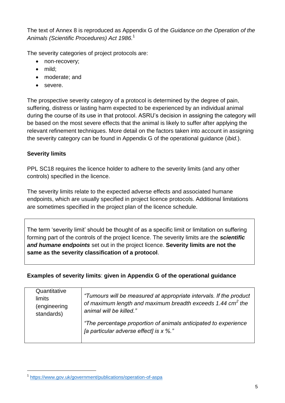The text of Annex 8 is reproduced as Appendix G of the *Guidance on the Operation of the Animals (Scientific Procedures) Act 1986.* 1

The severity categories of project protocols are:

- non-recovery;
- mild:
- moderate; and
- severe.

The prospective severity category of a protocol is determined by the degree of pain, suffering, distress or lasting harm expected to be experienced by an individual animal during the course of its use in that protocol. ASRU's decision in assigning the category will be based on the most severe effects that the animal is likely to suffer after applying the relevant refinement techniques. More detail on the factors taken into account in assigning the severity category can be found in Appendix G of the operational guidance (*ibid.*).

#### **Severity limits**

1

PPL SC18 requires the licence holder to adhere to the severity limits (and any other controls) specified in the licence.

The severity limits relate to the expected adverse effects and associated humane endpoints, which are usually specified in project licence protocols. Additional limitations are sometimes specified in the project plan of the licence schedule.

The term 'severity limit' should be thought of as a specific limit or limitation on suffering forming part of the controls of the project licence. The severity limits are the *scientific and humane endpoints* set out in the project licence. **Severity limits are not the same as the severity classification of a protocol**.

#### **Examples of severity limits**: **given in Appendix G of the operational guidance**

| Quantitative<br>limits<br>(engineering | "Tumours will be measured at appropriate intervals. If the product<br>of maximum length and maximum breadth exceeds 1.44 cm <sup>2</sup> the |
|----------------------------------------|----------------------------------------------------------------------------------------------------------------------------------------------|
| standards)                             | animal will be killed."                                                                                                                      |
|                                        | "The percentage proportion of animals anticipated to experience<br>[a particular adverse effect] is x %."                                    |

<sup>1</sup> <https://www.gov.uk/government/publications/operation-of-aspa>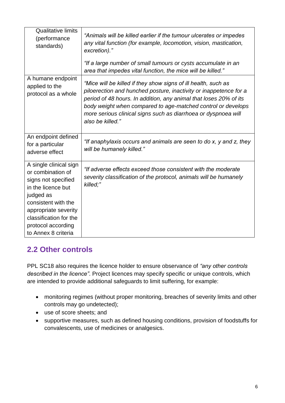| <b>Qualitative limits</b><br>(performance<br>standards)                                                                                                                                                                     | "Animals will be killed earlier if the tumour ulcerates or impedes<br>any vital function (for example, locomotion, vision, mastication,<br>excretion)."<br>"If a large number of small tumours or cysts accumulate in an<br>area that impedes vital function, the mice will be killed."                                                                        |
|-----------------------------------------------------------------------------------------------------------------------------------------------------------------------------------------------------------------------------|----------------------------------------------------------------------------------------------------------------------------------------------------------------------------------------------------------------------------------------------------------------------------------------------------------------------------------------------------------------|
| A humane endpoint<br>applied to the<br>protocol as a whole                                                                                                                                                                  | "Mice will be killed if they show signs of ill health, such as<br>piloerection and hunched posture, inactivity or inappetence for a<br>period of 48 hours. In addition, any animal that loses 20% of its<br>body weight when compared to age-matched control or develops<br>more serious clinical signs such as diarrhoea or dyspnoea will<br>also be killed." |
| An endpoint defined<br>for a particular<br>adverse effect                                                                                                                                                                   | "If anaphylaxis occurs and animals are seen to do x, y and z, they<br>will be humanely killed."                                                                                                                                                                                                                                                                |
| A single clinical sign<br>or combination of<br>signs not specified<br>in the licence but<br>judged as<br>consistent with the<br>appropriate severity<br>classification for the<br>protocol according<br>to Annex 8 criteria | "If adverse effects exceed those consistent with the moderate<br>severity classification of the protocol, animals will be humanely<br>killed;"                                                                                                                                                                                                                 |

## **2.2 Other controls**

PPL SC18 also requires the licence holder to ensure observance of *"any other controls described in the licence"*. Project licences may specify specific or unique controls, which are intended to provide additional safeguards to limit suffering, for example:

- monitoring regimes (without proper monitoring, breaches of severity limits and other controls may go undetected);
- use of score sheets; and
- supportive measures, such as defined housing conditions, provision of foodstuffs for convalescents, use of medicines or analgesics.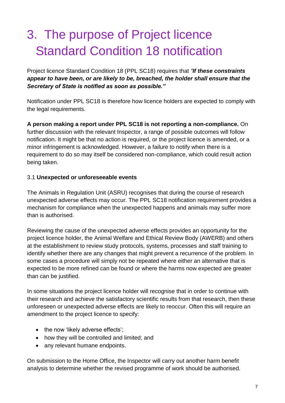## 3. The purpose of Project licence Standard Condition 18 notification

Project licence Standard Condition 18 (PPL SC18) requires that *"If these constraints appear to have been, or are likely to be, breached, the holder shall ensure that the Secretary of State is notified as soon as possible."*

Notification under PPL SC18 is therefore how licence holders are expected to comply with the legal requirements.

**A person making a report under PPL SC18 is not reporting a non-compliance.** On further discussion with the relevant Inspector, a range of possible outcomes will follow notification. It might be that no action is required, or the project licence is amended, or a minor infringement is acknowledged. However, a failure to notify when there is a requirement to do so may itself be considered non-compliance, which could result action being taken.

#### 3.1 **Unexpected or unforeseeable events**

The Animals in Regulation Unit (ASRU) recognises that during the course of research unexpected adverse effects may occur. The PPL SC18 notification requirement provides a mechanism for compliance when the unexpected happens and animals may suffer more than is authorised.

Reviewing the cause of the unexpected adverse effects provides an opportunity for the project licence holder, the Animal Welfare and Ethical Review Body (AWERB) and others at the establishment to review study protocols, systems, processes and staff training to identify whether there are any changes that might prevent a recurrence of the problem. In some cases a procedure will simply not be repeated where either an alternative that is expected to be more refined can be found or where the harms now expected are greater than can be justified.

In some situations the project licence holder will recognise that in order to continue with their research and achieve the satisfactory scientific results from that research, then these unforeseen or unexpected adverse effects are likely to reoccur. Often this will require an amendment to the project licence to specify:

- the now 'likely adverse effects';
- how they will be controlled and limited; and
- any relevant humane endpoints.

On submission to the Home Office, the Inspector will carry out another harm benefit analysis to determine whether the revised programme of work should be authorised.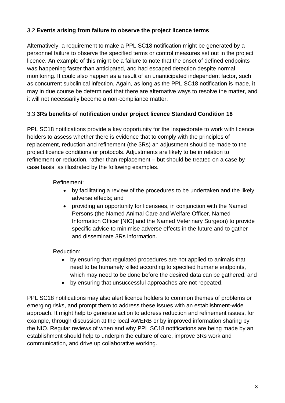#### 3.2 **Events arising from failure to observe the project licence terms**

Alternatively, a requirement to make a PPL SC18 notification might be generated by a personnel failure to observe the specified terms or control measures set out in the project licence. An example of this might be a failure to note that the onset of defined endpoints was happening faster than anticipated, and had escaped detection despite normal monitoring. It could also happen as a result of an unanticipated independent factor, such as concurrent subclinical infection. Again, as long as the PPL SC18 notification is made, it may in due course be determined that there are alternative ways to resolve the matter, and it will not necessarily become a non-compliance matter.

#### 3.3 **3Rs benefits of notification under project licence Standard Condition 18**

PPL SC18 notifications provide a key opportunity for the Inspectorate to work with licence holders to assess whether there is evidence that to comply with the principles of replacement, reduction and refinement (the 3Rs) an adjustment should be made to the project licence conditions or protocols. Adjustments are likely to be in relation to refinement or reduction, rather than replacement – but should be treated on a case by case basis, as illustrated by the following examples.

Refinement:

- by facilitating a review of the procedures to be undertaken and the likely adverse effects; and
- providing an opportunity for licensees, in conjunction with the Named Persons (the Named Animal Care and Welfare Officer, Named Information Officer [NIO] and the Named Veterinary Surgeon) to provide specific advice to minimise adverse effects in the future and to gather and disseminate 3Rs information.

#### Reduction:

- by ensuring that regulated procedures are not applied to animals that need to be humanely killed according to specified humane endpoints, which may need to be done before the desired data can be gathered; and
- by ensuring that unsuccessful approaches are not repeated.

PPL SC18 notifications may also alert licence holders to common themes of problems or emerging risks, and prompt them to address these issues with an establishment-wide approach. It might help to generate action to address reduction and refinement issues, for example, through discussion at the local AWERB or by improved information sharing by the NIO. Regular reviews of when and why PPL SC18 notifications are being made by an establishment should help to underpin the culture of care, improve 3Rs work and communication, and drive up collaborative working.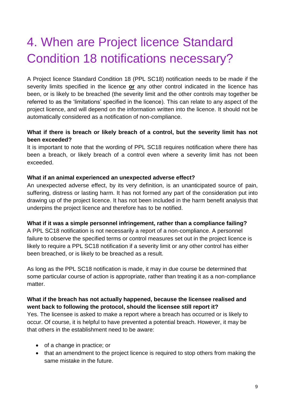## 4. When are Project licence Standard Condition 18 notifications necessary?

A Project licence Standard Condition 18 (PPL SC18) notification needs to be made if the severity limits specified in the licence **or** any other control indicated in the licence has been, or is likely to be breached (the severity limit and the other controls may together be referred to as the 'limitations' specified in the licence). This can relate to any aspect of the project licence, and will depend on the information written into the licence. It should not be automatically considered as a notification of non-compliance.

#### **What if there is breach or likely breach of a control, but the severity limit has not been exceeded?**

It is important to note that the wording of PPL SC18 requires notification where there has been a breach, or likely breach of a control even where a severity limit has not been exceeded.

#### **What if an animal experienced an unexpected adverse effect?**

An unexpected adverse effect, by its very definition, is an unanticipated source of pain, suffering, distress or lasting harm. It has not formed any part of the consideration put into drawing up of the project licence. It has not been included in the harm benefit analysis that underpins the project licence and therefore has to be notified.

#### **What if it was a simple personnel infringement, rather than a compliance failing?**

A PPL SC18 notification is not necessarily a report of a non-compliance. A personnel failure to observe the specified terms or control measures set out in the project licence is likely to require a PPL SC18 notification if a severity limit or any other control has either been breached, or is likely to be breached as a result.

As long as the PPL SC18 notification is made, it may in due course be determined that some particular course of action is appropriate, rather than treating it as a non-compliance matter.

#### **What if the breach has not actually happened, because the licensee realised and went back to following the protocol, should the licensee still report it?**

Yes. The licensee is asked to make a report where a breach has occurred or is likely to occur. Of course, it is helpful to have prevented a potential breach. However, it may be that others in the establishment need to be aware:

- of a change in practice; or
- that an amendment to the project licence is required to stop others from making the same mistake in the future.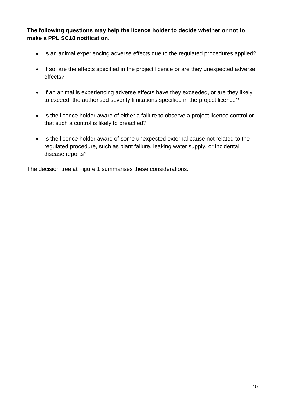**The following questions may help the licence holder to decide whether or not to make a PPL SC18 notification.**

- Is an animal experiencing adverse effects due to the regulated procedures applied?
- If so, are the effects specified in the project licence or are they unexpected adverse effects?
- If an animal is experiencing adverse effects have they exceeded, or are they likely to exceed, the authorised severity limitations specified in the project licence?
- Is the licence holder aware of either a failure to observe a project licence control or that such a control is likely to breached?
- Is the licence holder aware of some unexpected external cause not related to the regulated procedure, such as plant failure, leaking water supply, or incidental disease reports?

The decision tree at Figure 1 summarises these considerations.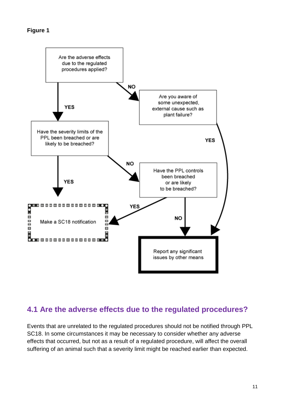

### **4.1 Are the adverse effects due to the regulated procedures?**

Events that are unrelated to the regulated procedures should not be notified through PPL SC18. In some circumstances it may be necessary to consider whether any adverse effects that occurred, but not as a result of a regulated procedure, will affect the overall suffering of an animal such that a severity limit might be reached earlier than expected.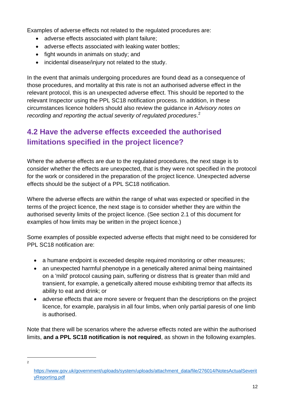Examples of adverse effects not related to the regulated procedures are:

- adverse effects associated with plant failure;
- adverse effects associated with leaking water bottles;
- fight wounds in animals on study; and
- incidental disease/injury not related to the study.

In the event that animals undergoing procedures are found dead as a consequence of those procedures, and mortality at this rate is not an authorised adverse effect in the relevant protocol, this is an unexpected adverse effect. This should be reported to the relevant Inspector using the PPL SC18 notification process. In addition, in these circumstances licence holders should also review the guidance in *Advisory notes on recording and reporting the actual severity of regulated procedures*. 2

### **4.2 Have the adverse effects exceeded the authorised limitations specified in the project licence?**

Where the adverse effects are due to the regulated procedures, the next stage is to consider whether the effects are unexpected, that is they were not specified in the protocol for the work or considered in the preparation of the project licence. Unexpected adverse effects should be the subject of a PPL SC18 notification.

Where the adverse effects are within the range of what was expected or specified in the terms of the project licence, the next stage is to consider whether they are within the authorised severity limits of the project licence. (See section 2.1 of this document for examples of how limits may be written in the project licence.)

Some examples of possible expected adverse effects that might need to be considered for PPL SC18 notification are:

- a humane endpoint is exceeded despite required monitoring or other measures;
- an unexpected harmful phenotype in a genetically altered animal being maintained on a 'mild' protocol causing pain, suffering or distress that is greater than mild and transient, for example, a genetically altered mouse exhibiting tremor that affects its ability to eat and drink; or
- adverse effects that are more severe or frequent than the descriptions on the project licence, for example, paralysis in all four limbs, when only partial paresis of one limb is authorised.

Note that there will be scenarios where the adverse effects noted are within the authorised limits, **and a PPL SC18 notification is not required**, as shown in the following examples.

1 2

[https://www.gov.uk/government/uploads/system/uploads/attachment\\_data/file/276014/NotesActualSeverit](https://www.gov.uk/government/uploads/system/uploads/attachment_data/file/276014/NotesActualSeverityReporting.pdf) [yReporting.pdf](https://www.gov.uk/government/uploads/system/uploads/attachment_data/file/276014/NotesActualSeverityReporting.pdf)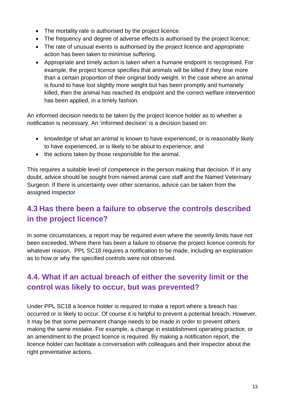- The mortality rate is authorised by the project licence.
- The frequency and degree of adverse effects is authorised by the project licence;
- The rate of unusual events is authorised by the project licence and appropriate action has been taken to minimise suffering.
- Appropriate and timely action is taken when a humane endpoint is recognised. For example, the project licence specifies that animals will be killed if they lose more than a certain proportion of their original body weight. In the case where an animal is found to have lost slightly more weight but has been promptly and humanely killed, then the animal has reached its endpoint and the correct welfare intervention has been applied, in a timely fashion.

An informed decision needs to be taken by the project licence holder as to whether a notification is necessary. An 'informed decision' is a decision based on:

- knowledge of what an animal is known to have experienced, or is reasonably likely to have experienced, or is likely to be about to experience; and
- the actions taken by those responsible for the animal.

This requires a suitable level of competence in the person making that decision. If in any doubt, advice should be sought from named animal care staff and the Named Veterinary Surgeon. If there is uncertainty over other scenarios, advice can be taken from the assigned Inspector

### **4.3 Has there been a failure to observe the controls described in the project licence?**

In some circumstances, a report may be required even where the severity limits have not been exceeded. Where there has been a failure to observe the project licence controls for whatever reason, PPL SC18 requires a notification to be made, including an explanation as to how or why the specified controls were not observed.

### **4.4. What if an actual breach of either the severity limit or the control was likely to occur, but was prevented?**

Under PPL SC18 a licence holder is required to make a report where a breach has occurred or is likely to occur. Of course it is helpful to prevent a potential breach. However, it may be that some permanent change needs to be made in order to prevent others making the same mistake. For example, a change in establishment operating practice, or an amendment to the project licence is required. By making a notification report, the licence holder can facilitate a conversation with colleagues and their Inspector about the right preventative actions.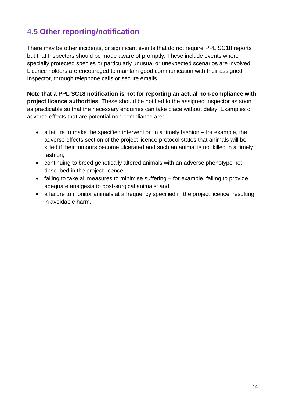## **4.5 Other reporting/notification**

There may be other incidents, or significant events that do not require PPL SC18 reports but that Inspectors should be made aware of promptly. These include events where specially protected species or particularly unusual or unexpected scenarios are involved. Licence holders are encouraged to maintain good communication with their assigned Inspector, through telephone calls or secure emails.

**Note that a PPL SC18 notification is not for reporting an actual non-compliance with project licence authorities**. These should be notified to the assigned Inspector as soon as practicable so that the necessary enquiries can take place without delay. Examples of adverse effects that are potential non-compliance are:

- $\bullet$  a failure to make the specified intervention in a timely fashion  $-$  for example, the adverse effects section of the project licence protocol states that animals will be killed if their tumours become ulcerated and such an animal is not killed in a timely fashion;
- continuing to breed genetically altered animals with an adverse phenotype not described in the project licence;
- failing to take all measures to minimise suffering for example, failing to provide adequate analgesia to post-surgical animals; and
- a failure to monitor animals at a frequency specified in the project licence, resulting in avoidable harm.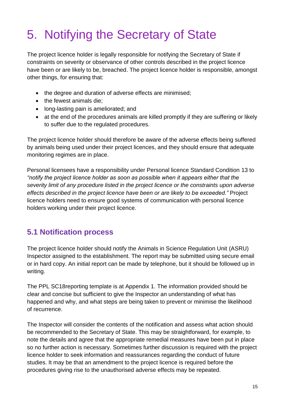# 5. Notifying the Secretary of State

The project licence holder is legally responsible for notifying the Secretary of State if constraints on severity or observance of other controls described in the project licence have been or are likely to be, breached. The project licence holder is responsible, amongst other things, for ensuring that:

- the degree and duration of adverse effects are minimised;
- the fewest animals die;
- long-lasting pain is ameliorated; and
- at the end of the procedures animals are killed promptly if they are suffering or likely to suffer due to the regulated procedures.

The project licence holder should therefore be aware of the adverse effects being suffered by animals being used under their project licences, and they should ensure that adequate monitoring regimes are in place.

Personal licensees have a responsibility under Personal licence Standard Condition 13 to *"notify the project licence holder as soon as possible when it appears either that the severity limit of any procedure listed in the project licence or the constraints upon adverse effects described in the project licence have been or are likely to be exceeded."* Project licence holders need to ensure good systems of communication with personal licence holders working under their project licence.

### **5.1 Notification process**

The project licence holder should notify the Animals in Science Regulation Unit (ASRU) Inspector assigned to the establishment. The report may be submitted using secure email or in hard copy. An initial report can be made by telephone, but it should be followed up in writing.

The PPL SC18reporting template is at Appendix 1. The information provided should be clear and concise but sufficient to give the Inspector an understanding of what has happened and why, and what steps are being taken to prevent or minimise the likelihood of recurrence.

The Inspector will consider the contents of the notification and assess what action should be recommended to the Secretary of State. This may be straightforward, for example, to note the details and agree that the appropriate remedial measures have been put in place so no further action is necessary. Sometimes further discussion is required with the project licence holder to seek information and reassurances regarding the conduct of future studies. It may be that an amendment to the project licence is required before the procedures giving rise to the unauthorised adverse effects may be repeated.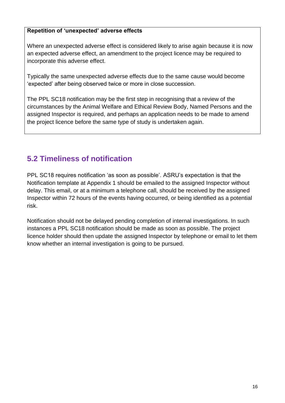#### **Repetition of 'unexpected' adverse effects**

Where an unexpected adverse effect is considered likely to arise again because it is now an expected adverse effect, an amendment to the project licence may be required to incorporate this adverse effect.

Typically the same unexpected adverse effects due to the same cause would become 'expected' after being observed twice or more in close succession.

The PPL SC18 notification may be the first step in recognising that a review of the circumstances by the Animal Welfare and Ethical Review Body, Named Persons and the assigned Inspector is required, and perhaps an application needs to be made to amend the project licence before the same type of study is undertaken again.

## **5.2 Timeliness of notification**

PPL SC18 requires notification 'as soon as possible'. ASRU's expectation is that the Notification template at Appendix 1 should be emailed to the assigned Inspector without delay. This email, or at a minimum a telephone call, should be received by the assigned Inspector within 72 hours of the events having occurred, or being identified as a potential risk.

Notification should not be delayed pending completion of internal investigations. In such instances a PPL SC18 notification should be made as soon as possible. The project licence holder should then update the assigned Inspector by telephone or email to let them know whether an internal investigation is going to be pursued.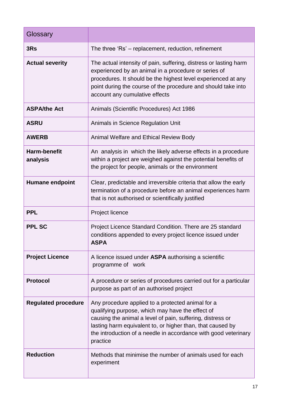| Glossary                        |                                                                                                                                                                                                                                                                                                                  |
|---------------------------------|------------------------------------------------------------------------------------------------------------------------------------------------------------------------------------------------------------------------------------------------------------------------------------------------------------------|
| 3Rs                             | The three 'Rs' - replacement, reduction, refinement                                                                                                                                                                                                                                                              |
| <b>Actual severity</b>          | The actual intensity of pain, suffering, distress or lasting harm<br>experienced by an animal in a procedure or series of<br>procedures. It should be the highest level experienced at any<br>point during the course of the procedure and should take into<br>account any cumulative effects                    |
| <b>ASPA/the Act</b>             | Animals (Scientific Procedures) Act 1986                                                                                                                                                                                                                                                                         |
| <b>ASRU</b>                     | Animals in Science Regulation Unit                                                                                                                                                                                                                                                                               |
| <b>AWERB</b>                    | Animal Welfare and Ethical Review Body                                                                                                                                                                                                                                                                           |
| <b>Harm-benefit</b><br>analysis | An analysis in which the likely adverse effects in a procedure<br>within a project are weighed against the potential benefits of<br>the project for people, animals or the environment                                                                                                                           |
| <b>Humane endpoint</b>          | Clear, predictable and irreversible criteria that allow the early<br>termination of a procedure before an animal experiences harm<br>that is not authorised or scientifically justified                                                                                                                          |
| <b>PPL</b>                      | Project licence                                                                                                                                                                                                                                                                                                  |
| <b>PPL SC</b>                   | Project Licence Standard Condition. There are 25 standard<br>conditions appended to every project licence issued under<br><b>ASPA</b>                                                                                                                                                                            |
| <b>Project Licence</b>          | A licence issued under <b>ASPA</b> authorising a scientific<br>programme of work                                                                                                                                                                                                                                 |
| <b>Protocol</b>                 | A procedure or series of procedures carried out for a particular<br>purpose as part of an authorised project                                                                                                                                                                                                     |
| <b>Regulated procedure</b>      | Any procedure applied to a protected animal for a<br>qualifying purpose, which may have the effect of<br>causing the animal a level of pain, suffering, distress or<br>lasting harm equivalent to, or higher than, that caused by<br>the introduction of a needle in accordance with good veterinary<br>practice |
| <b>Reduction</b>                | Methods that minimise the number of animals used for each<br>experiment                                                                                                                                                                                                                                          |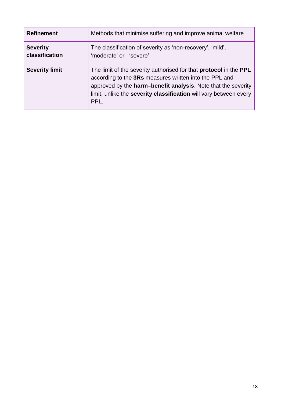| <b>Refinement</b>                 | Methods that minimise suffering and improve animal welfare                                                                                                                                                                                                                              |
|-----------------------------------|-----------------------------------------------------------------------------------------------------------------------------------------------------------------------------------------------------------------------------------------------------------------------------------------|
| <b>Severity</b><br>classification | The classification of severity as 'non-recovery', 'mild',<br>'moderate' or 'severe'                                                                                                                                                                                                     |
| <b>Severity limit</b>             | The limit of the severity authorised for that <b>protocol</b> in the <b>PPL</b><br>according to the 3Rs measures written into the PPL and<br>approved by the harm-benefit analysis. Note that the severity<br>limit, unlike the severity classification will vary between every<br>PPL. |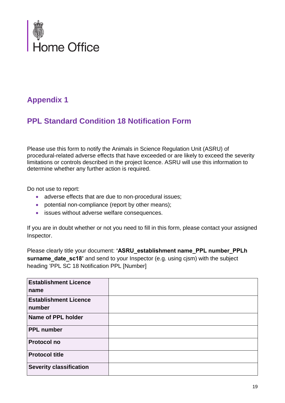

## **Appendix 1**

## **PPL Standard Condition 18 Notification Form**

Please use this form to notify the Animals in Science Regulation Unit (ASRU) of procedural-related adverse effects that have exceeded or are likely to exceed the severity limitations or controls described in the project licence. ASRU will use this information to determine whether any further action is required.

Do not use to report:

- adverse effects that are due to non-procedural issues;
- potential non-compliance (report by other means);
- issues without adverse welfare consequences.

If you are in doubt whether or not you need to fill in this form, please contact your assigned Inspector.

Please clearly title your document: 'ASRU establishment name PPL number PPLh **surname date sc18'** and send to your Inspector (e.g. using cjsm) with the subject heading 'PPL SC 18 Notification PPL [Number]

| <b>Establishment Licence</b>           |  |
|----------------------------------------|--|
| name                                   |  |
| <b>Establishment Licence</b><br>number |  |
| Name of PPL holder                     |  |
| <b>PPL number</b>                      |  |
| <b>Protocol no</b>                     |  |
| <b>Protocol title</b>                  |  |
| <b>Severity classification</b>         |  |